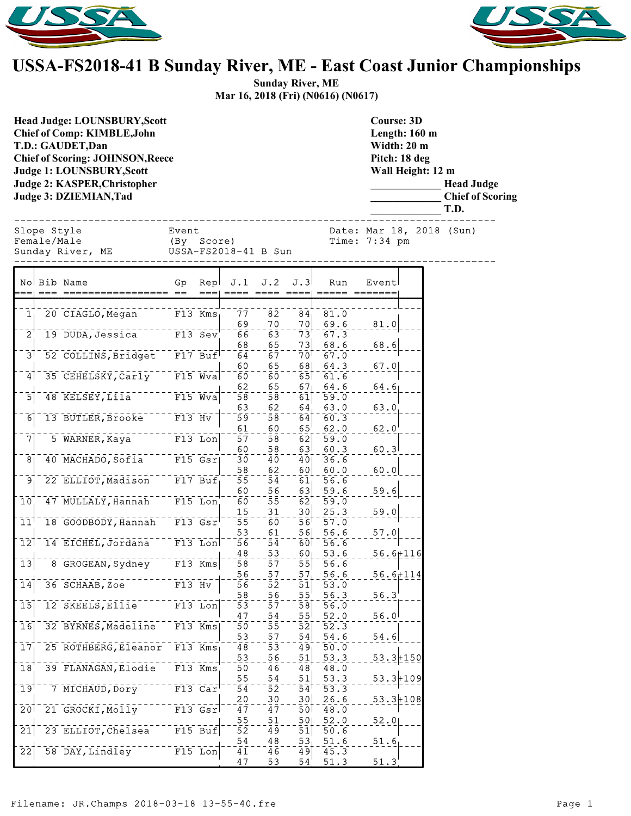



## **USSA-FS2018-41 B Sunday River, ME - East Coast Junior Championships**

**Sunday River, ME Mar 16, 2018 (Fri) (N0616) (N0617)**

| <b>Head Judge: LOUNSBURY, Scott</b><br><b>Chief of Comp: KIMBLE, John</b><br>T.D.: GAUDET, Dan<br><b>Chief of Scoring: JOHNSON, Reece</b><br><b>Judge 1: LOUNSBURY, Scott</b><br>Judge 2: KASPER, Christopher<br>Judge 3: DZIEMIAN, Tad |                     |             |                       |                        | <b>Course: 3D</b><br>Length: 160 m<br>Width: 20 m<br>Pitch: 18 deg<br>Wall Height: 12 m | <b>Head Judge</b><br><b>Chief of Scoring</b><br>T.D. |                                           |  |
|-----------------------------------------------------------------------------------------------------------------------------------------------------------------------------------------------------------------------------------------|---------------------|-------------|-----------------------|------------------------|-----------------------------------------------------------------------------------------|------------------------------------------------------|-------------------------------------------|--|
| Slope Style<br>Female/Male<br>Sunday River, ME                                                                                                                                                                                          | Event<br>(By Score) |             | USSA-FS2018-41 B Sun  |                        |                                                                                         |                                                      | Date: Mar 18, 2018 (Sun)<br>Time: 7:34 pm |  |
|                                                                                                                                                                                                                                         |                     |             |                       |                        |                                                                                         |                                                      |                                           |  |
| No Bib Name<br>$:= =  $                                                                                                                                                                                                                 | Gp                  | Rep         | J.1                   | J.2                    | J.3                                                                                     | Run<br>===  ==== ==== ====  ===== =======            | Event                                     |  |
|                                                                                                                                                                                                                                         |                     |             |                       |                        |                                                                                         |                                                      |                                           |  |
| $\overline{1}$<br>20 CIAGLO, Megan                                                                                                                                                                                                      | $F13$ Kms           |             | 77<br>69              | 82<br>70               | 84 <sub>1</sub><br>70                                                                   | 81.0<br>69.6                                         | 81.0                                      |  |
| 19 DUDA, Jessica F13 Sev<br>$2^7$                                                                                                                                                                                                       |                     |             | 66                    | $\bar{6}\bar{3}$       | $\bar{7}3$                                                                              | 67.3                                                 |                                           |  |
|                                                                                                                                                                                                                                         |                     |             | 68                    | 65                     | 73                                                                                      | 68.6                                                 | 68.6                                      |  |
| 52 COLLINS, Bridget F17 Buf<br>$\bar{3}$                                                                                                                                                                                                |                     |             | 64<br>60              | $\overline{67}$<br>65  | 70 <sup>1</sup><br>68                                                                   | 67.0<br>64.3                                         | 67.0                                      |  |
| 35 CEHELSKY, Carly F15 Wva<br> 4                                                                                                                                                                                                        |                     |             | 60                    | 60                     | 65                                                                                      | 61.6                                                 |                                           |  |
|                                                                                                                                                                                                                                         |                     |             | 62                    | 65                     | 67 <sub>1</sub>                                                                         | 64.6                                                 | 64.6                                      |  |
| $48$ KELSEY, Lila <sup>--</sup><br>$\overline{5}$                                                                                                                                                                                       | $--- 15$ Wva        |             | 58<br>63              | $\bar{5}\bar{8}$<br>62 | $\overline{61}$<br>64                                                                   | 59.0<br>63.0                                         | 63.0                                      |  |
| 13 BUTLER, Brooke F13 Hv<br>$\overline{6}$                                                                                                                                                                                              |                     |             | 59                    | 58                     | 64                                                                                      | 60.3                                                 |                                           |  |
|                                                                                                                                                                                                                                         |                     |             | 61                    | 60                     | $65^{\circ}$                                                                            | 62.0                                                 | 62.0                                      |  |
| 7<br>5 WARNER, Kaya                                                                                                                                                                                                                     | $F13$ Lon           |             | 57                    | 58                     | 62<br>63 <sup>1</sup>                                                                   | 59.0                                                 |                                           |  |
| 40 MACHADO, Sofia F15 Gsr<br>8 <sub>1</sub>                                                                                                                                                                                             |                     |             | 60<br>30              | 58<br>40               | 40                                                                                      | 60.3<br>36.6                                         | 60.3                                      |  |
|                                                                                                                                                                                                                                         |                     |             | 58                    | 62                     | 60                                                                                      | 60.0                                                 | 60.0                                      |  |
| 22 ELLIOT, Madison F17 Buf<br>$\overline{9}$                                                                                                                                                                                            |                     |             | 55                    | 54                     | $61_1$                                                                                  | 56.6                                                 |                                           |  |
| 47 MULLALY, Hannah F15 Lon<br>10                                                                                                                                                                                                        |                     |             | 60<br>60              | 56<br>55               | 63<br>62                                                                                | 59.6<br>59.0                                         | 59.6                                      |  |
|                                                                                                                                                                                                                                         |                     |             | 15                    | 31                     | 30                                                                                      | 25.3                                                 | 59.0                                      |  |
| 18 GOODBODY, Hannah F13 Gsr<br>$11^1$                                                                                                                                                                                                   |                     |             | 55                    | 60                     | $5\overline{6}$ <sup>T</sup>                                                            | 57.0                                                 |                                           |  |
| 14 EICHEL, Jordana <sup>---</sup> F13 Lon<br>$\overline{1}\overline{2}$                                                                                                                                                                 |                     |             | 53<br>$\overline{56}$ | 61<br>$\overline{54}$  | 56<br>60                                                                                | 56.6<br>56.6                                         | 57.0                                      |  |
|                                                                                                                                                                                                                                         |                     |             | 48                    | 53                     | 60 <sub>1</sub>                                                                         | 53.6                                                 | $56.6 + 116$                              |  |
| $\overline{13}$<br>8 GROGEAN, Sydney F13 Kms                                                                                                                                                                                            |                     |             | 58                    | 57                     | $\overline{55}$                                                                         | 56.6                                                 |                                           |  |
|                                                                                                                                                                                                                                         |                     |             | 56                    | 57                     | 57 <sub>1</sub>                                                                         | 56.6                                                 | $56.6 + 114$                              |  |
| 36 SCHAAB, Zoe<br>14                                                                                                                                                                                                                    | $F13$ Hv            |             | 56<br>58              | 52<br>56               | 51<br>55                                                                                | 53.0<br>56.3                                         | 56.3                                      |  |
| 12 SKEELS, EIIIe<br>$\overline{15}$                                                                                                                                                                                                     |                     | $F13$ Lon   | 53                    | 57                     | 58                                                                                      | 56.0                                                 |                                           |  |
|                                                                                                                                                                                                                                         |                     |             | 47                    | 54                     | 55 <sup>1</sup>                                                                         | 52.0                                                 | 56.0                                      |  |
| 32 BYRNES, Madeline<br>$\overline{16}$                                                                                                                                                                                                  |                     | $F13$ Kms   | $\bar{50}$<br>53      | 55<br>57               | 52<br>54                                                                                | 52.3<br>54.6                                         | 54.6                                      |  |
| 25 ROTHBERG, Eleanor<br>$\bar{1}7_1$                                                                                                                                                                                                    |                     | F13 Kms     | 48                    | 53                     | 49 <sub>1</sub>                                                                         | 50.0                                                 |                                           |  |
|                                                                                                                                                                                                                                         |                     |             | 53                    | 56                     | 51                                                                                      | 53.3                                                 | $53.3 + 150$                              |  |
| 39 FLANAGAN, Elodie F13 Kms<br>18                                                                                                                                                                                                       |                     |             | 50                    | $\overline{4}6$        | 48                                                                                      | 48.0                                                 |                                           |  |
| 7 MICHAUD, DOry<br>19 <sup>1</sup>                                                                                                                                                                                                      |                     | $F13$ $Car$ | 55<br>54              | 54<br>52               | 51<br>$\overline{54}$ <sup>T</sup>                                                      | 53.3<br>53.3                                         | $53.3 + 109$                              |  |
|                                                                                                                                                                                                                                         |                     |             | 20                    | 30                     | 30                                                                                      | 26.6                                                 | $53.3 + 108$                              |  |
| 21 GROCKI, Molly<br>$\overline{20}$                                                                                                                                                                                                     |                     | $F13$ $Gsr$ | 47                    | 47                     | 50 <sup>1</sup>                                                                         | 48.0                                                 |                                           |  |
| 23 ELLIOT, Chelsea<br>21                                                                                                                                                                                                                |                     | $F15$ Buf   | 55<br>52              | 51<br>49               | 50<br>51                                                                                | 52.0<br>50.6                                         | 52.0                                      |  |
|                                                                                                                                                                                                                                         |                     |             | 54                    | 48                     | 53                                                                                      | 51.6                                                 | 51.6                                      |  |
| $\overline{22}$<br>58 DAY, Lindley                                                                                                                                                                                                      |                     | $F15$ Lon   | 41                    | 46                     | 49                                                                                      | 45.3                                                 |                                           |  |
|                                                                                                                                                                                                                                         |                     |             | 47                    | 53                     | 54'                                                                                     | 51.3                                                 | 51.3                                      |  |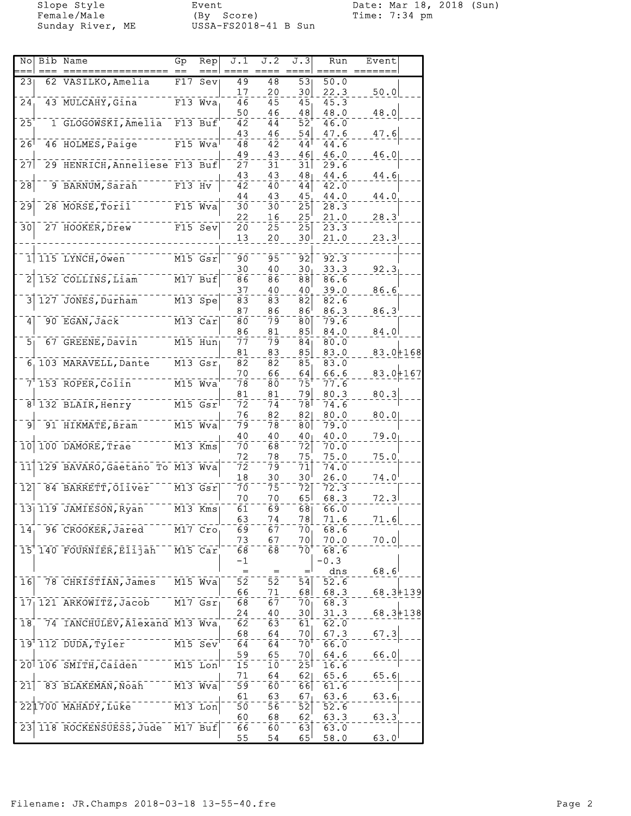Female/Male (By Score) Time: 7:34 pm Sunday River, ME USSA-FS2018-41 B Sun

Slope Style Event Date: Mar 18, 2018 (Sun)

| Nol             | Bib Name                                                                                                                                                                                                                                                                                                                                                                              | Gp       | Rep                  | J.1              | J.2             | J.3                                       | Run           | Event          |  |
|-----------------|---------------------------------------------------------------------------------------------------------------------------------------------------------------------------------------------------------------------------------------------------------------------------------------------------------------------------------------------------------------------------------------|----------|----------------------|------------------|-----------------|-------------------------------------------|---------------|----------------|--|
|                 |                                                                                                                                                                                                                                                                                                                                                                                       |          |                      |                  |                 |                                           |               |                |  |
| 23              | 62 VASILKO, Amelia                                                                                                                                                                                                                                                                                                                                                                    |          | F17 Sev              | 49               | $\overline{48}$ | $\overline{53}$                           | 50.0          |                |  |
| $\overline{24}$ | 43 MULCAHY, Gina                                                                                                                                                                                                                                                                                                                                                                      |          | $F13$ Wva            | 17<br>46         | 20<br>45        | 30<br>45                                  | 22.3<br>45.3  | 50.0           |  |
|                 |                                                                                                                                                                                                                                                                                                                                                                                       |          |                      | 50               | 46              | 48                                        | 48.0          | 48.0           |  |
| $\overline{25}$ | 1 GLOGOWSKI, Amelia                                                                                                                                                                                                                                                                                                                                                                   |          | $F13$ Buf            | 42               | 44              | 52                                        | 46.0          |                |  |
|                 |                                                                                                                                                                                                                                                                                                                                                                                       |          |                      | 43               | 46              | 54                                        | 47.6          | 47.6           |  |
| 26              | 46 HOLMES, Paige                                                                                                                                                                                                                                                                                                                                                                      |          | $F15$ Wva            | 48               | 42              | 44                                        | 44.6          |                |  |
|                 |                                                                                                                                                                                                                                                                                                                                                                                       |          |                      | 49               | 43              | 46                                        | 46.0          | 46.0           |  |
| 27              | 29 HENRICH, Anneliese F13 Buf                                                                                                                                                                                                                                                                                                                                                         |          |                      | 27               | 31              | $\overline{31}$                           | 29.6          |                |  |
|                 |                                                                                                                                                                                                                                                                                                                                                                                       |          |                      | 43               | 43              | 48 <sub>1</sub>                           | 44.6          | 44.6           |  |
| $\overline{28}$ | 9 BARNUM, Sarah                                                                                                                                                                                                                                                                                                                                                                       | $F13$ Hv |                      | $\overline{42}$  | 40              | 44                                        | 42.0          |                |  |
|                 |                                                                                                                                                                                                                                                                                                                                                                                       |          |                      | 44               | 43              | 45                                        | 44.0          | 44.0           |  |
| $\overline{29}$ | 28 MORSE, Toril                                                                                                                                                                                                                                                                                                                                                                       |          | $F15$ Wva            | зō               | 30              | $\bar{2}\bar{5}$                          | 28.3          |                |  |
| 30              | 27 HOOKER, Drew                                                                                                                                                                                                                                                                                                                                                                       |          | $F15$ Sev            | 22<br>20         | 16<br>25        | 25<br>$\overline{25}$                     | 21.0<br>23.3  | $28.3^{\circ}$ |  |
|                 |                                                                                                                                                                                                                                                                                                                                                                                       |          |                      | 13               | 20              | 30 <sup>1</sup>                           | 21.0          | 23.3           |  |
|                 |                                                                                                                                                                                                                                                                                                                                                                                       |          |                      |                  |                 |                                           |               |                |  |
|                 | $1$ $115$ LYNCH, Owen                                                                                                                                                                                                                                                                                                                                                                 |          | $M15$ $Gsr$          | 90               | 95              | 92                                        | 92.3          |                |  |
|                 |                                                                                                                                                                                                                                                                                                                                                                                       |          |                      | 30               | 40              | 30 <sub>1</sub>                           | 33.3          | 92.3           |  |
|                 | 152 COLLINS, Liam                                                                                                                                                                                                                                                                                                                                                                     |          | $M17$ Buf            | 86               | 86              | $\overline{88}$                           | 86.6          |                |  |
|                 |                                                                                                                                                                                                                                                                                                                                                                                       |          |                      | 37               | 40              | 40                                        | 39.0          | 86.6           |  |
| 3               | 127 JONES, Durham                                                                                                                                                                                                                                                                                                                                                                     |          | $M13$ Spe            | 83               | 83              | $\overline{82}$                           | 82.6          |                |  |
|                 |                                                                                                                                                                                                                                                                                                                                                                                       |          |                      | 87               | 86              | $86^{\circ}$                              | 86.3          | 86.3           |  |
| 4               | 90 EGAN, Jack                                                                                                                                                                                                                                                                                                                                                                         |          | $M13$ Car            | 80               | 79              | 80                                        | 79.6          |                |  |
| 5 <sub>1</sub>  | 67 GREENE, Davin                                                                                                                                                                                                                                                                                                                                                                      |          | $\overline{M15}$ Hun | 86<br>77         | 81<br>79        | 85<br>84 <sub>1</sub>                     | 84.0<br>80.0  | 84.0           |  |
|                 |                                                                                                                                                                                                                                                                                                                                                                                       |          |                      | 81               | 83              | 85                                        | 83.0          | $83.0 + 168$   |  |
|                 | 6 103 MARAVELL, Dante                                                                                                                                                                                                                                                                                                                                                                 |          | $M13$ $Gsr$          | 82               | 82              | $\overline{85}$                           | 83.0          |                |  |
|                 |                                                                                                                                                                                                                                                                                                                                                                                       |          |                      | 70               | 66              | 64                                        | 66.6          | $83.0 + 167$   |  |
|                 | 7 153 ROPER, Colin                                                                                                                                                                                                                                                                                                                                                                    |          | $M15$ $Wva$          | 78               | 80              | $\bar{7}\bar{5}$                          | 77.6          |                |  |
|                 |                                                                                                                                                                                                                                                                                                                                                                                       |          |                      | 81               | 81              | 79                                        | 80.3          | 80.3           |  |
|                 | 8 132 BLAIR, Henry                                                                                                                                                                                                                                                                                                                                                                    |          | $M15$ $Gsr$          | ĪŹ               | 74              | 78⊺                                       | 74.6          |                |  |
|                 |                                                                                                                                                                                                                                                                                                                                                                                       |          |                      | 76               | 82              | 82                                        | 80.0          | 80.0           |  |
| g               | $\frac{1}{100} - \frac{1}{100} = \frac{1}{100} = \frac{1}{100} = \frac{1}{100} = \frac{1}{100} = \frac{1}{100} = \frac{1}{100} = \frac{1}{100} = \frac{1}{100} = \frac{1}{100} = \frac{1}{100} = \frac{1}{100} = \frac{1}{100} = \frac{1}{100} = \frac{1}{100} = \frac{1}{100} = \frac{1}{100} = \frac{1}{100} = \frac{1}{100} = \frac{1}{100} = \frac{1}{100} =$<br>91 HIKMATE, Bram |          |                      | 79               | 78              | $\overline{80}$                           | 79.0          |                |  |
| $\overline{10}$ |                                                                                                                                                                                                                                                                                                                                                                                       |          |                      | 40               | 40              | 40 <sub>1</sub>                           | 40.0          | 79.0           |  |
|                 | 100 DAMORE, Trae                                                                                                                                                                                                                                                                                                                                                                      |          | $M13$ Kms            | 70               | 68              | 72<br>75                                  | 70.0          |                |  |
| 11              | 129 BAVARO, Gaetano To M13 Wya                                                                                                                                                                                                                                                                                                                                                        |          |                      | 72<br>72         | 78<br>79        | 71                                        | 75.0<br>74.0  | 75.0           |  |
|                 |                                                                                                                                                                                                                                                                                                                                                                                       |          |                      | 18               | 30              | 30 <sup>1</sup>                           | 26.0          | $74.0^{\circ}$ |  |
| $\overline{12}$ | 84 BARRETT, Oliver                                                                                                                                                                                                                                                                                                                                                                    |          | $M13$ $Gsr$          | 70               | 75              | 72                                        | 72.3          |                |  |
|                 |                                                                                                                                                                                                                                                                                                                                                                                       |          |                      | 70               | 70              | 65                                        | 68.3          | 72.3           |  |
|                 | $13$   $119$ JAMIESON, Ryan                                                                                                                                                                                                                                                                                                                                                           |          | $M13$ Kms            | $\bar{6}\bar{1}$ | $\bar{6}9$      | 68                                        | 66.0          |                |  |
|                 |                                                                                                                                                                                                                                                                                                                                                                                       |          |                      | 63               | 74              | 78                                        | 71.6          | 71.6           |  |
| 14 <sub>1</sub> | 96 CROOKER, Jared                                                                                                                                                                                                                                                                                                                                                                     |          | M17 Cro              | 69               | 67              | 70 <sub>1</sub>                           | 68.6          |                |  |
|                 |                                                                                                                                                                                                                                                                                                                                                                                       |          |                      | 73               | 67              | 70                                        | 70.0          | 70.0           |  |
|                 | 15 140 FOURNIER, Elijah                                                                                                                                                                                                                                                                                                                                                               |          | M15 Car              | 68               | 68              | 70                                        | 68.6          |                |  |
|                 |                                                                                                                                                                                                                                                                                                                                                                                       |          |                      | -1<br>$=$        | $=$             | $=$                                       | $-0.3$<br>dns | 68.6           |  |
| 16              | 78 CHRISTIAN, James                                                                                                                                                                                                                                                                                                                                                                   |          | M15 Wva              | 52               | 52              | 54                                        | 52.6          |                |  |
|                 |                                                                                                                                                                                                                                                                                                                                                                                       |          |                      | 66               | 71              | 68                                        | 68.3          | $68.3 + 139$   |  |
|                 | 17 121 ARKOWITZ, Jacob                                                                                                                                                                                                                                                                                                                                                                |          | $\overline{M17}$ Gsr | 68               | 67              | 70 <sub>1</sub>                           | 68.3          |                |  |
|                 |                                                                                                                                                                                                                                                                                                                                                                                       |          |                      | 24               | 40              | 30                                        | 31.3          | $68.3 + 138$   |  |
| 18              | 74 IANCHULEV, Alexand M13 Wva                                                                                                                                                                                                                                                                                                                                                         |          |                      | 62               | 63              | 61                                        | 62.0          |                |  |
|                 |                                                                                                                                                                                                                                                                                                                                                                                       |          |                      | 68               | 64              | 70                                        | 67.3          | 67.3           |  |
|                 | 19 112 DUDA, Tyler                                                                                                                                                                                                                                                                                                                                                                    |          | $M15$ Sev            | 64               | 64              | 70'                                       | 66.0          |                |  |
|                 |                                                                                                                                                                                                                                                                                                                                                                                       |          |                      | 59               | 65              | 7이                                        | 64.6          | 66.0           |  |
|                 | 20 106 SMITH, Caiden                                                                                                                                                                                                                                                                                                                                                                  |          | $M15$ Lon            | 15               | 10              | $25$ <sup><math>\overline{ }</math></sup> | 16.6          |                |  |
| $\overline{21}$ | 83 BLAKEMAN, Noah                                                                                                                                                                                                                                                                                                                                                                     |          | $M13$ Wva            | 71<br>59         | 64<br>60        | 621<br>66                                 | 65.6<br>61.6  | 65.6           |  |
|                 |                                                                                                                                                                                                                                                                                                                                                                                       |          |                      | 61               | 63              | 67                                        | 63.6          | 63.6           |  |
|                 | 221700 MAHADY, Luke                                                                                                                                                                                                                                                                                                                                                                   |          | $M13$ Lon            | 5ō               | 56              | $\overline{52}$                           | 52.6          |                |  |
|                 |                                                                                                                                                                                                                                                                                                                                                                                       |          |                      | 60               | 68              | 62                                        | 63.3          | 63.3           |  |
|                 | 23 118 ROCKENSUESS, Jude                                                                                                                                                                                                                                                                                                                                                              |          | M17 Buf              | 66               | 60              | 63                                        | 63.0          |                |  |
|                 |                                                                                                                                                                                                                                                                                                                                                                                       |          |                      | 55               | 54              | 65 <sup>1</sup>                           | 58.0          | $63.0^{1}$     |  |